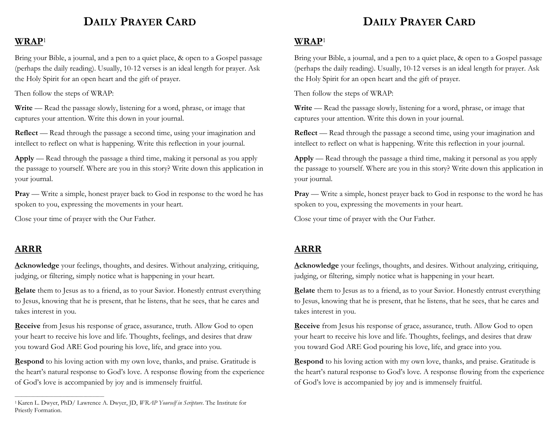# **DAILY PRAYER CARD**

#### **WRAP**<sup>1</sup>

Bring your Bible, a journal, and a pen to a quiet place, & open to a Gospel passage (perhaps the daily reading). Usually, 10-12 verses is an ideal length for prayer. Ask the Holy Spirit for an open heart and the gift of prayer.

Then follow the steps of WRAP:

**Write** — Read the passage slowly, listening for a word, phrase, or image that captures your attention. Write this down in your journal.

**Reflect** — Read through the passage a second time, using your imagination and intellect to reflect on what is happening. Write this reflection in your journal.

**Apply** — Read through the passage a third time, making it personal as you apply the passage to yourself. Where are you in this story? Write down this application in your journal.

**Pray** — Write a simple, honest prayer back to God in response to the word he has spoken to you, expressing the movements in your heart.

Close your time of prayer with the Our Father.

## **ARRR**

 $\overline{\phantom{a}}$  , and the set of the set of the set of the set of the set of the set of the set of the set of the set of the set of the set of the set of the set of the set of the set of the set of the set of the set of the s

**Acknowledge** your feelings, thoughts, and desires. Without analyzing, critiquing, judging, or filtering, simply notice what is happening in your heart.

**Relate** them to Jesus as to a friend, as to your Savior. Honestly entrust everything to Jesus, knowing that he is present, that he listens, that he sees, that he cares and takes interest in you.

**Receive** from Jesus his response of grace, assurance, truth. Allow God to open your heart to receive his love and life. Thoughts, feelings, and desires that draw you toward God ARE God pouring his love, life, and grace into you.

**Respond** to his loving action with my own love, thanks, and praise. Gratitude is the heart's natural response to God's love. A response flowing from the experience of God's love is accompanied by joy and is immensely fruitful.

# **DAILY PRAYER CARD**

### **WRAP**<sup>1</sup>

Bring your Bible, a journal, and a pen to a quiet place, & open to a Gospel passage (perhaps the daily reading). Usually, 10-12 verses is an ideal length for prayer. Ask the Holy Spirit for an open heart and the gift of prayer.

Then follow the steps of WRAP:

**Write** — Read the passage slowly, listening for a word, phrase, or image that captures your attention. Write this down in your journal.

**Reflect** — Read through the passage a second time, using your imagination and intellect to reflect on what is happening. Write this reflection in your journal.

**Apply** — Read through the passage a third time, making it personal as you apply the passage to yourself. Where are you in this story? Write down this application in your journal.

**Pray** — Write a simple, honest prayer back to God in response to the word he has spoken to you, expressing the movements in your heart.

Close your time of prayer with the Our Father.

# **ARRR**

**Acknowledge** your feelings, thoughts, and desires. Without analyzing, critiquing, judging, or filtering, simply notice what is happening in your heart.

**Relate** them to Jesus as to a friend, as to your Savior. Honestly entrust everything to Jesus, knowing that he is present, that he listens, that he sees, that he cares and takes interest in you.

**Receive** from Jesus his response of grace, assurance, truth. Allow God to open your heart to receive his love and life. Thoughts, feelings, and desires that draw you toward God ARE God pouring his love, life, and grace into you.

**Respond** to his loving action with my own love, thanks, and praise. Gratitude is the heart's natural response to God's love. A response flowing from the experience of God's love is accompanied by joy and is immensely fruitful.

<sup>1</sup>Karen L. Dwyer, PhD/ Lawrence A. Dwyer, JD, *WRAP Yourself in Scripture*. The Institute for Priestly Formation.